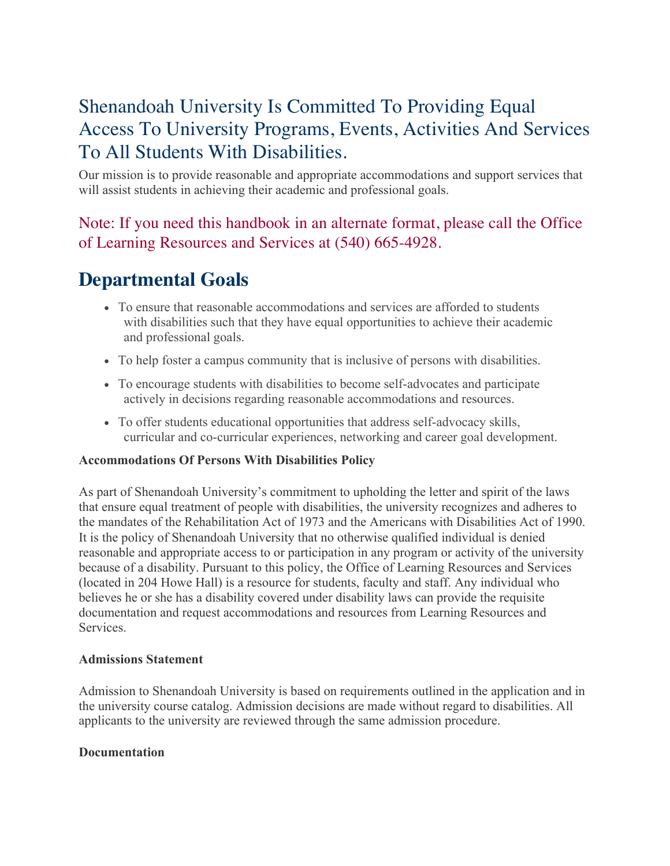# Shenandoah University Is Committed To Providing Equal Access To University Programs, Events, Activities And Services To All Students With Disabilities.

Our mission is to provide reasonable and appropriate accommodations and support services that will assist students in achieving their academic and professional goals.

# Note: If you need this handbook in an alternate format, please call the Office of Learning Resources and Services at (540) 665-4928.

# **Departmental Goals**

- To ensure that reasonable accommodations and services are afforded to students with disabilities such that they have equal opportunities to achieve their academic and professional goals.
- To help foster a campus community that is inclusive of persons with disabilities.
- To encourage students with disabilities to become self-advocates and participate actively in decisions regarding reasonable accommodations and resources.
- To offer students educational opportunities that address self-advocacy skills, curricular and co-curricular experiences, networking and career goal development.

# **Accommodations Of Persons With Disabilities Policy**

As part of Shenandoah University's commitment to upholding the letter and spirit of the laws that ensure equal treatment of people with disabilities, the university recognizes and adheres to the mandates of the Rehabilitation Act of 1973 and the Americans with Disabilities Act of 1990. It is the policy of Shenandoah University that no otherwise qualified individual is denied reasonable and appropriate access to or participation in any program or activity of the university because of a disability. Pursuant to this policy, the Office of Learning Resources and Services (located in 204 Howe Hall) is a resource for students, faculty and staff. Any individual who believes he or she has a disability covered under disability laws can provide the requisite documentation and request accommodations and resources from Learning Resources and Services.

#### **Admissions Statement**

Admission to Shenandoah University is based on requirements outlined in the application and in the university course catalog. Admission decisions are made without regard to disabilities. All applicants to the university are reviewed through the same admission procedure.

#### **Documentation**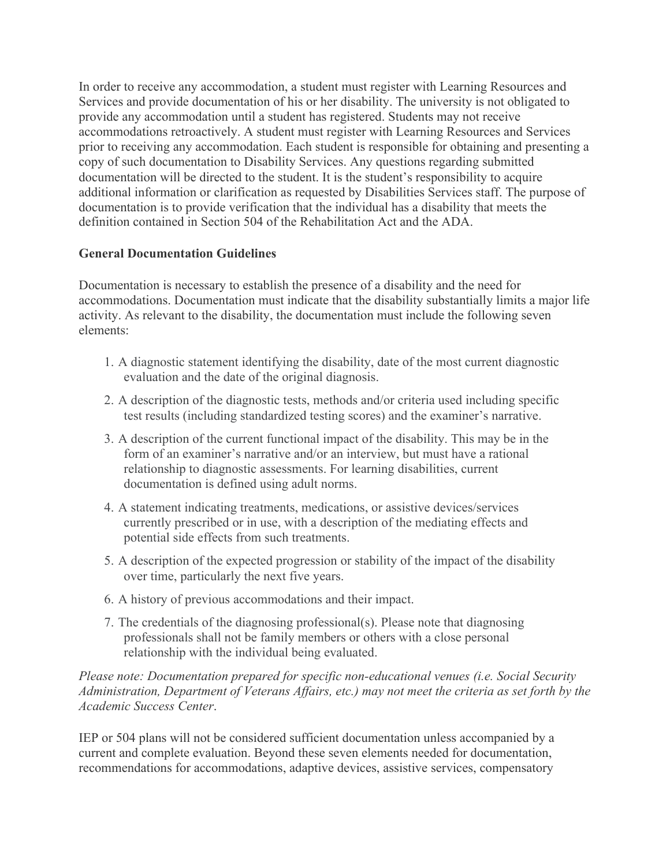In order to receive any accommodation, a student must register with Learning Resources and Services and provide documentation of his or her disability. The university is not obligated to provide any accommodation until a student has registered. Students may not receive accommodations retroactively. A student must register with Learning Resources and Services prior to receiving any accommodation. Each student is responsible for obtaining and presenting a copy of such documentation to Disability Services. Any questions regarding submitted documentation will be directed to the student. It is the student's responsibility to acquire additional information or clarification as requested by Disabilities Services staff. The purpose of documentation is to provide verification that the individual has a disability that meets the definition contained in Section 504 of the Rehabilitation Act and the ADA.

# **General Documentation Guidelines**

Documentation is necessary to establish the presence of a disability and the need for accommodations. Documentation must indicate that the disability substantially limits a major life activity. As relevant to the disability, the documentation must include the following seven elements:

- 1. A diagnostic statement identifying the disability, date of the most current diagnostic evaluation and the date of the original diagnosis.
- 2. A description of the diagnostic tests, methods and/or criteria used including specific test results (including standardized testing scores) and the examiner's narrative.
- 3. A description of the current functional impact of the disability. This may be in the form of an examiner's narrative and/or an interview, but must have a rational relationship to diagnostic assessments. For learning disabilities, current documentation is defined using adult norms.
- 4. A statement indicating treatments, medications, or assistive devices/services currently prescribed or in use, with a description of the mediating effects and potential side effects from such treatments.
- 5. A description of the expected progression or stability of the impact of the disability over time, particularly the next five years.
- 6. A history of previous accommodations and their impact.
- 7. The credentials of the diagnosing professional(s). Please note that diagnosing professionals shall not be family members or others with a close personal relationship with the individual being evaluated.

*Please note: Documentation prepared for specific non-educational venues (i.e. Social Security Administration, Department of Veterans Affairs, etc.) may not meet the criteria as set forth by the Academic Success Center*.

IEP or 504 plans will not be considered sufficient documentation unless accompanied by a current and complete evaluation. Beyond these seven elements needed for documentation, recommendations for accommodations, adaptive devices, assistive services, compensatory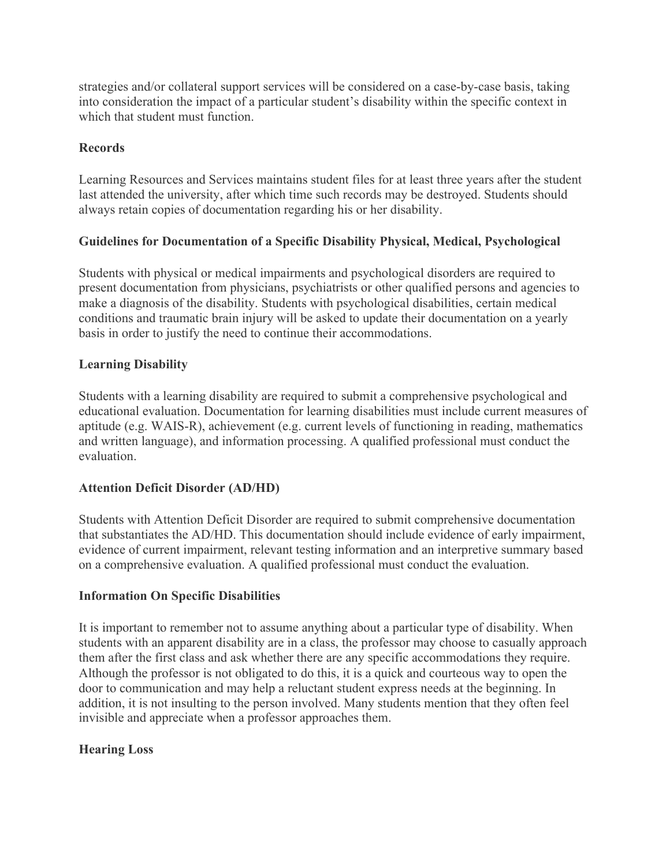strategies and/or collateral support services will be considered on a case-by-case basis, taking into consideration the impact of a particular student's disability within the specific context in which that student must function

### **Records**

Learning Resources and Services maintains student files for at least three years after the student last attended the university, after which time such records may be destroyed. Students should always retain copies of documentation regarding his or her disability.

#### **Guidelines for Documentation of a Specific Disability Physical, Medical, Psychological**

Students with physical or medical impairments and psychological disorders are required to present documentation from physicians, psychiatrists or other qualified persons and agencies to make a diagnosis of the disability. Students with psychological disabilities, certain medical conditions and traumatic brain injury will be asked to update their documentation on a yearly basis in order to justify the need to continue their accommodations.

#### **Learning Disability**

Students with a learning disability are required to submit a comprehensive psychological and educational evaluation. Documentation for learning disabilities must include current measures of aptitude (e.g. WAIS-R), achievement (e.g. current levels of functioning in reading, mathematics and written language), and information processing. A qualified professional must conduct the evaluation.

#### **Attention Deficit Disorder (AD/HD)**

Students with Attention Deficit Disorder are required to submit comprehensive documentation that substantiates the AD/HD. This documentation should include evidence of early impairment, evidence of current impairment, relevant testing information and an interpretive summary based on a comprehensive evaluation. A qualified professional must conduct the evaluation.

#### **Information On Specific Disabilities**

It is important to remember not to assume anything about a particular type of disability. When students with an apparent disability are in a class, the professor may choose to casually approach them after the first class and ask whether there are any specific accommodations they require. Although the professor is not obligated to do this, it is a quick and courteous way to open the door to communication and may help a reluctant student express needs at the beginning. In addition, it is not insulting to the person involved. Many students mention that they often feel invisible and appreciate when a professor approaches them.

#### **Hearing Loss**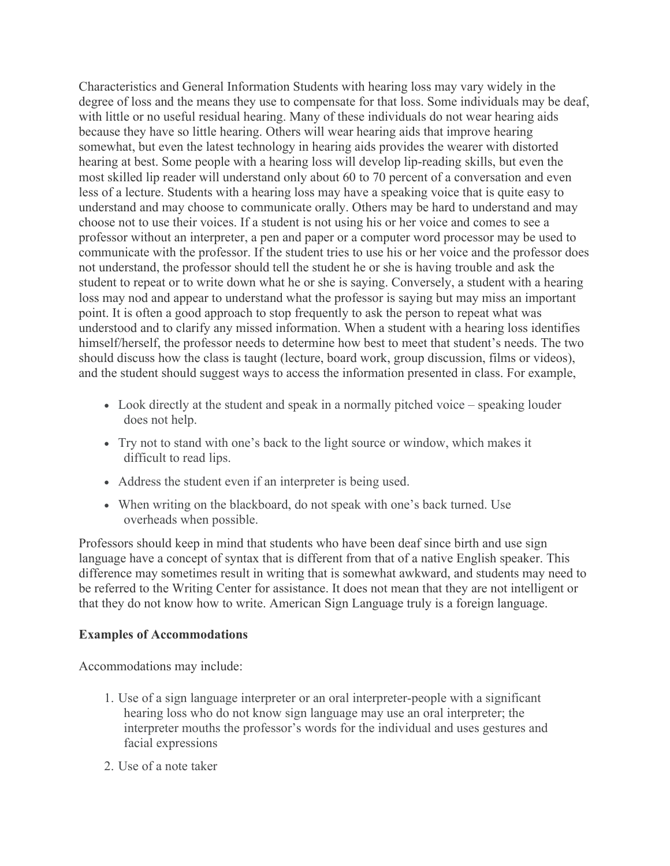Characteristics and General Information Students with hearing loss may vary widely in the degree of loss and the means they use to compensate for that loss. Some individuals may be deaf, with little or no useful residual hearing. Many of these individuals do not wear hearing aids because they have so little hearing. Others will wear hearing aids that improve hearing somewhat, but even the latest technology in hearing aids provides the wearer with distorted hearing at best. Some people with a hearing loss will develop lip-reading skills, but even the most skilled lip reader will understand only about 60 to 70 percent of a conversation and even less of a lecture. Students with a hearing loss may have a speaking voice that is quite easy to understand and may choose to communicate orally. Others may be hard to understand and may choose not to use their voices. If a student is not using his or her voice and comes to see a professor without an interpreter, a pen and paper or a computer word processor may be used to communicate with the professor. If the student tries to use his or her voice and the professor does not understand, the professor should tell the student he or she is having trouble and ask the student to repeat or to write down what he or she is saying. Conversely, a student with a hearing loss may nod and appear to understand what the professor is saying but may miss an important point. It is often a good approach to stop frequently to ask the person to repeat what was understood and to clarify any missed information. When a student with a hearing loss identifies himself/herself, the professor needs to determine how best to meet that student's needs. The two should discuss how the class is taught (lecture, board work, group discussion, films or videos), and the student should suggest ways to access the information presented in class. For example,

- Look directly at the student and speak in a normally pitched voice speaking louder does not help.
- Try not to stand with one's back to the light source or window, which makes it difficult to read lips.
- Address the student even if an interpreter is being used.
- When writing on the blackboard, do not speak with one's back turned. Use overheads when possible.

Professors should keep in mind that students who have been deaf since birth and use sign language have a concept of syntax that is different from that of a native English speaker. This difference may sometimes result in writing that is somewhat awkward, and students may need to be referred to the Writing Center for assistance. It does not mean that they are not intelligent or that they do not know how to write. American Sign Language truly is a foreign language.

#### **Examples of Accommodations**

Accommodations may include:

- 1. Use of a sign language interpreter or an oral interpreter-people with a significant hearing loss who do not know sign language may use an oral interpreter; the interpreter mouths the professor's words for the individual and uses gestures and facial expressions
- 2. Use of a note taker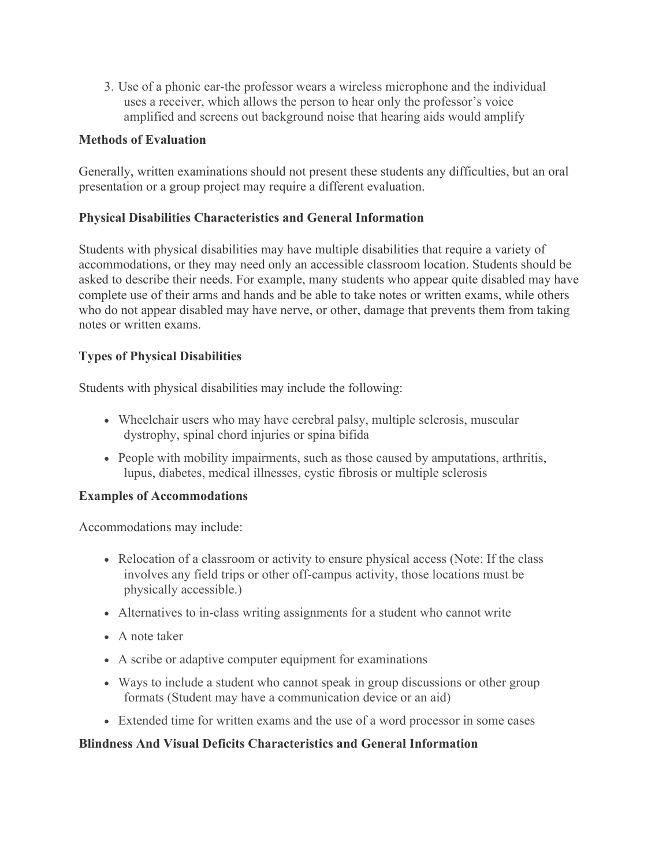3. Use of a phonic ear-the professor wears a wireless microphone and the individual uses a receiver, which allows the person to hear only the professor's voice amplified and screens out background noise that hearing aids would amplify

### **Methods of Evaluation**

Generally, written examinations should not present these students any difficulties, but an oral presentation or a group project may require a different evaluation.

#### **Physical Disabilities Characteristics and General Information**

Students with physical disabilities may have multiple disabilities that require a variety of accommodations, or they may need only an accessible classroom location. Students should be asked to describe their needs. For example, many students who appear quite disabled may have complete use of their arms and hands and be able to take notes or written exams, while others who do not appear disabled may have nerve, or other, damage that prevents them from taking notes or written exams.

# **Types of Physical Disabilities**

Students with physical disabilities may include the following:

- Wheelchair users who may have cerebral palsy, multiple sclerosis, muscular dystrophy, spinal chord injuries or spina bifida
- People with mobility impairments, such as those caused by amputations, arthritis, lupus, diabetes, medical illnesses, cystic fibrosis or multiple sclerosis

#### **Examples of Accommodations**

Accommodations may include:

- Relocation of a classroom or activity to ensure physical access (Note: If the class involves any field trips or other off-campus activity, those locations must be physically accessible.)
- Alternatives to in-class writing assignments for a student who cannot write
- A note taker
- A scribe or adaptive computer equipment for examinations
- Ways to include a student who cannot speak in group discussions or other group formats (Student may have a communication device or an aid)
- Extended time for written exams and the use of a word processor in some cases

#### **Blindness And Visual Deficits Characteristics and General Information**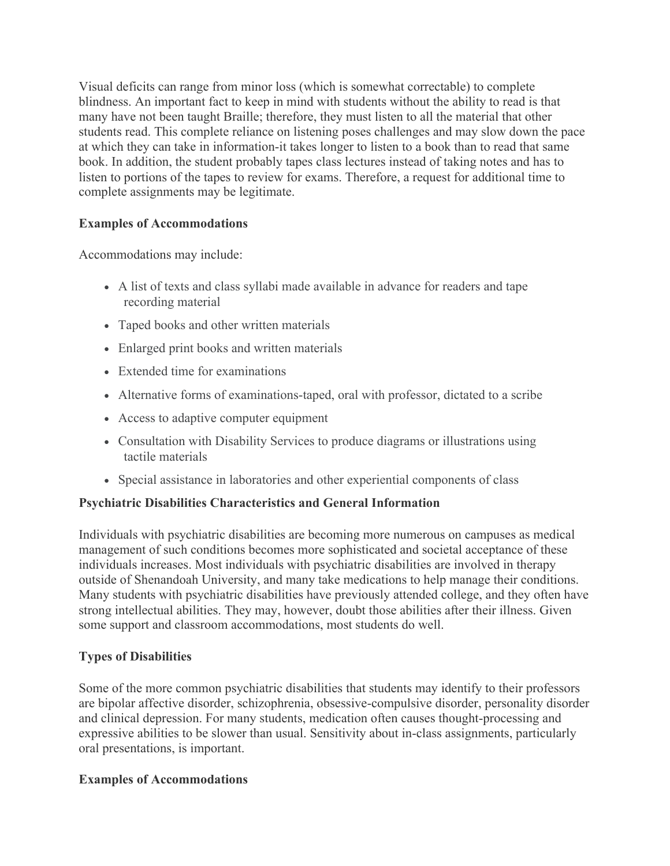Visual deficits can range from minor loss (which is somewhat correctable) to complete blindness. An important fact to keep in mind with students without the ability to read is that many have not been taught Braille; therefore, they must listen to all the material that other students read. This complete reliance on listening poses challenges and may slow down the pace at which they can take in information-it takes longer to listen to a book than to read that same book. In addition, the student probably tapes class lectures instead of taking notes and has to listen to portions of the tapes to review for exams. Therefore, a request for additional time to complete assignments may be legitimate.

#### **Examples of Accommodations**

Accommodations may include:

- A list of texts and class syllabi made available in advance for readers and tape recording material
- Taped books and other written materials
- Enlarged print books and written materials
- Extended time for examinations
- Alternative forms of examinations-taped, oral with professor, dictated to a scribe
- Access to adaptive computer equipment
- Consultation with Disability Services to produce diagrams or illustrations using tactile materials
- Special assistance in laboratories and other experiential components of class

# **Psychiatric Disabilities Characteristics and General Information**

Individuals with psychiatric disabilities are becoming more numerous on campuses as medical management of such conditions becomes more sophisticated and societal acceptance of these individuals increases. Most individuals with psychiatric disabilities are involved in therapy outside of Shenandoah University, and many take medications to help manage their conditions. Many students with psychiatric disabilities have previously attended college, and they often have strong intellectual abilities. They may, however, doubt those abilities after their illness. Given some support and classroom accommodations, most students do well.

# **Types of Disabilities**

Some of the more common psychiatric disabilities that students may identify to their professors are bipolar affective disorder, schizophrenia, obsessive-compulsive disorder, personality disorder and clinical depression. For many students, medication often causes thought-processing and expressive abilities to be slower than usual. Sensitivity about in-class assignments, particularly oral presentations, is important.

# **Examples of Accommodations**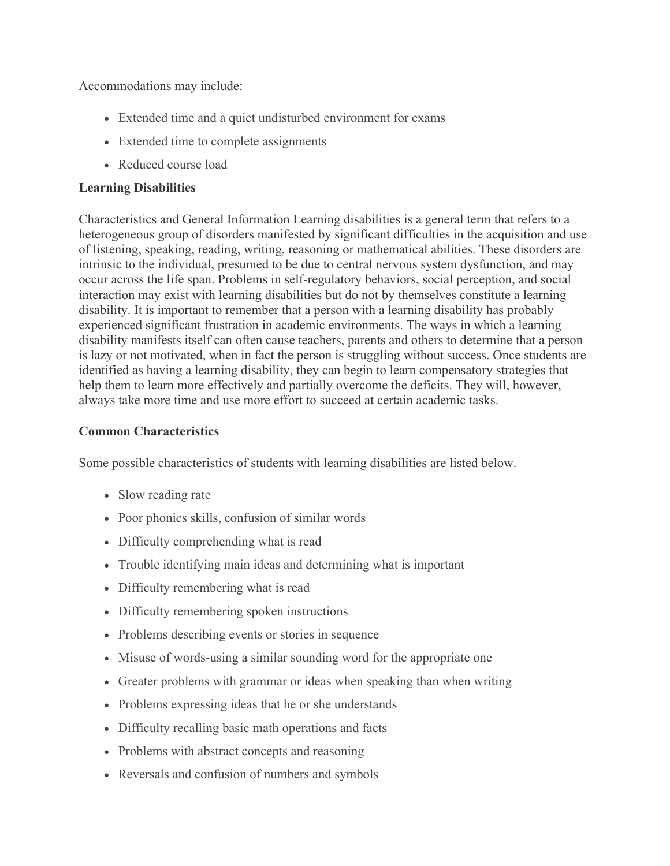Accommodations may include:

- Extended time and a quiet undisturbed environment for exams
- Extended time to complete assignments
- Reduced course load

#### **Learning Disabilities**

Characteristics and General Information Learning disabilities is a general term that refers to a heterogeneous group of disorders manifested by significant difficulties in the acquisition and use of listening, speaking, reading, writing, reasoning or mathematical abilities. These disorders are intrinsic to the individual, presumed to be due to central nervous system dysfunction, and may occur across the life span. Problems in self-regulatory behaviors, social perception, and social interaction may exist with learning disabilities but do not by themselves constitute a learning disability. It is important to remember that a person with a learning disability has probably experienced significant frustration in academic environments. The ways in which a learning disability manifests itself can often cause teachers, parents and others to determine that a person is lazy or not motivated, when in fact the person is struggling without success. Once students are identified as having a learning disability, they can begin to learn compensatory strategies that help them to learn more effectively and partially overcome the deficits. They will, however, always take more time and use more effort to succeed at certain academic tasks.

#### **Common Characteristics**

Some possible characteristics of students with learning disabilities are listed below.

- Slow reading rate
- Poor phonics skills, confusion of similar words
- Difficulty comprehending what is read
- Trouble identifying main ideas and determining what is important
- Difficulty remembering what is read
- Difficulty remembering spoken instructions
- Problems describing events or stories in sequence
- Misuse of words-using a similar sounding word for the appropriate one
- Greater problems with grammar or ideas when speaking than when writing
- Problems expressing ideas that he or she understands
- Difficulty recalling basic math operations and facts
- Problems with abstract concepts and reasoning
- Reversals and confusion of numbers and symbols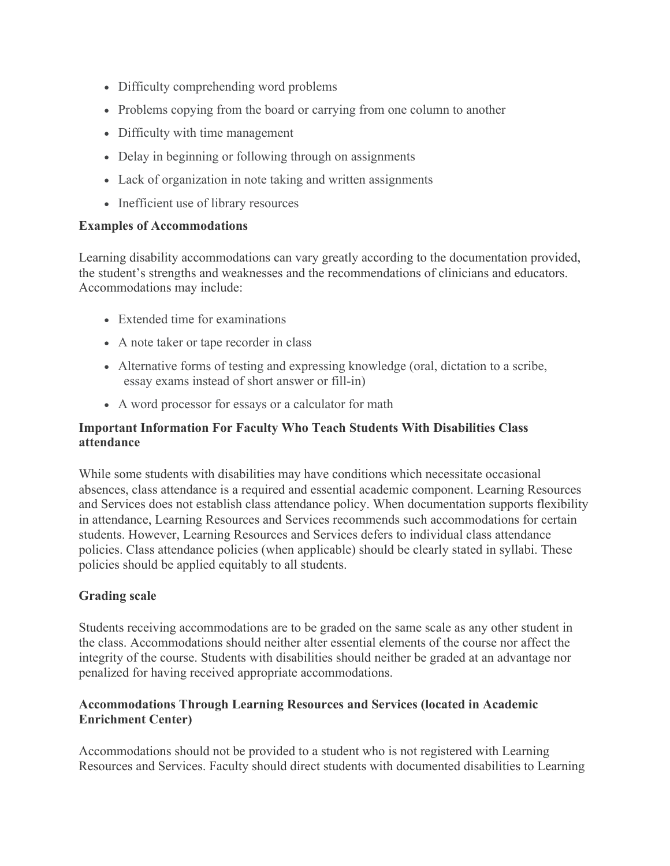- Difficulty comprehending word problems
- Problems copying from the board or carrying from one column to another
- Difficulty with time management
- Delay in beginning or following through on assignments
- Lack of organization in note taking and written assignments
- Inefficient use of library resources

#### **Examples of Accommodations**

Learning disability accommodations can vary greatly according to the documentation provided, the student's strengths and weaknesses and the recommendations of clinicians and educators. Accommodations may include:

- Extended time for examinations
- A note taker or tape recorder in class
- Alternative forms of testing and expressing knowledge (oral, dictation to a scribe, essay exams instead of short answer or fill-in)
- A word processor for essays or a calculator for math

# **Important Information For Faculty Who Teach Students With Disabilities Class attendance**

While some students with disabilities may have conditions which necessitate occasional absences, class attendance is a required and essential academic component. Learning Resources and Services does not establish class attendance policy. When documentation supports flexibility in attendance, Learning Resources and Services recommends such accommodations for certain students. However, Learning Resources and Services defers to individual class attendance policies. Class attendance policies (when applicable) should be clearly stated in syllabi. These policies should be applied equitably to all students.

#### **Grading scale**

Students receiving accommodations are to be graded on the same scale as any other student in the class. Accommodations should neither alter essential elements of the course nor affect the integrity of the course. Students with disabilities should neither be graded at an advantage nor penalized for having received appropriate accommodations.

#### **Accommodations Through Learning Resources and Services (located in Academic Enrichment Center)**

Accommodations should not be provided to a student who is not registered with Learning Resources and Services. Faculty should direct students with documented disabilities to Learning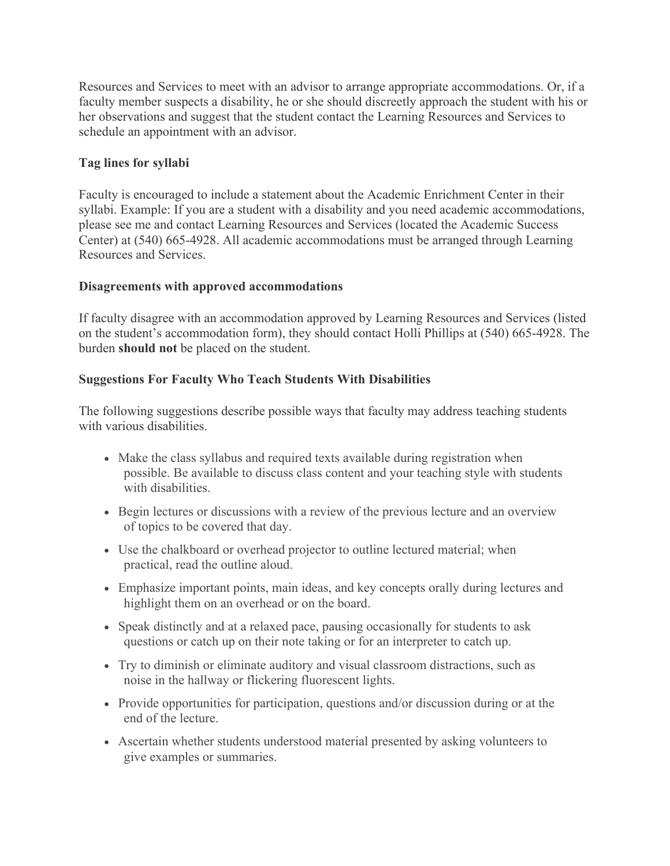Resources and Services to meet with an advisor to arrange appropriate accommodations. Or, if a faculty member suspects a disability, he or she should discreetly approach the student with his or her observations and suggest that the student contact the Learning Resources and Services to schedule an appointment with an advisor.

### **Tag lines for syllabi**

Faculty is encouraged to include a statement about the Academic Enrichment Center in their syllabi. Example: If you are a student with a disability and you need academic accommodations, please see me and contact Learning Resources and Services (located the Academic Success Center) at (540) 665-4928. All academic accommodations must be arranged through Learning Resources and Services.

#### **Disagreements with approved accommodations**

If faculty disagree with an accommodation approved by Learning Resources and Services (listed on the student's accommodation form), they should contact Holli Phillips at (540) 665-4928. The burden **should not** be placed on the student.

#### **Suggestions For Faculty Who Teach Students With Disabilities**

The following suggestions describe possible ways that faculty may address teaching students with various disabilities.

- Make the class syllabus and required texts available during registration when possible. Be available to discuss class content and your teaching style with students with disabilities.
- Begin lectures or discussions with a review of the previous lecture and an overview of topics to be covered that day.
- Use the chalkboard or overhead projector to outline lectured material; when practical, read the outline aloud.
- Emphasize important points, main ideas, and key concepts orally during lectures and highlight them on an overhead or on the board.
- Speak distinctly and at a relaxed pace, pausing occasionally for students to ask questions or catch up on their note taking or for an interpreter to catch up.
- Try to diminish or eliminate auditory and visual classroom distractions, such as noise in the hallway or flickering fluorescent lights.
- Provide opportunities for participation, questions and/or discussion during or at the end of the lecture.
- Ascertain whether students understood material presented by asking volunteers to give examples or summaries.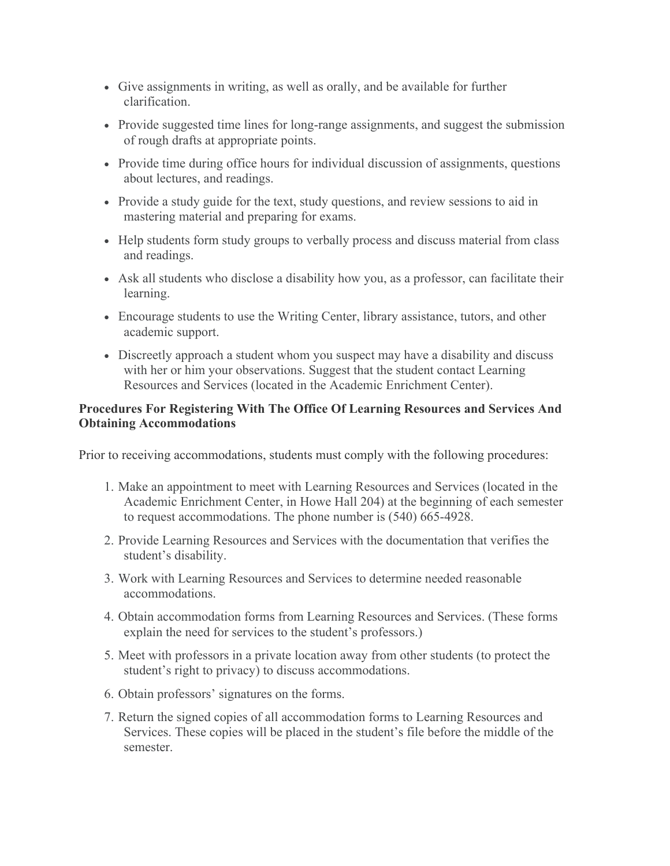- Give assignments in writing, as well as orally, and be available for further clarification.
- Provide suggested time lines for long-range assignments, and suggest the submission of rough drafts at appropriate points.
- Provide time during office hours for individual discussion of assignments, questions about lectures, and readings.
- Provide a study guide for the text, study questions, and review sessions to aid in mastering material and preparing for exams.
- Help students form study groups to verbally process and discuss material from class and readings.
- Ask all students who disclose a disability how you, as a professor, can facilitate their learning.
- Encourage students to use the Writing Center, library assistance, tutors, and other academic support.
- Discreetly approach a student whom you suspect may have a disability and discuss with her or him your observations. Suggest that the student contact Learning Resources and Services (located in the Academic Enrichment Center).

# **Procedures For Registering With The Office Of Learning Resources and Services And Obtaining Accommodations**

Prior to receiving accommodations, students must comply with the following procedures:

- 1. Make an appointment to meet with Learning Resources and Services (located in the Academic Enrichment Center, in Howe Hall 204) at the beginning of each semester to request accommodations. The phone number is (540) 665-4928.
- 2. Provide Learning Resources and Services with the documentation that verifies the student's disability.
- 3. Work with Learning Resources and Services to determine needed reasonable accommodations.
- 4. Obtain accommodation forms from Learning Resources and Services. (These forms explain the need for services to the student's professors.)
- 5. Meet with professors in a private location away from other students (to protect the student's right to privacy) to discuss accommodations.
- 6. Obtain professors' signatures on the forms.
- 7. Return the signed copies of all accommodation forms to Learning Resources and Services. These copies will be placed in the student's file before the middle of the semester.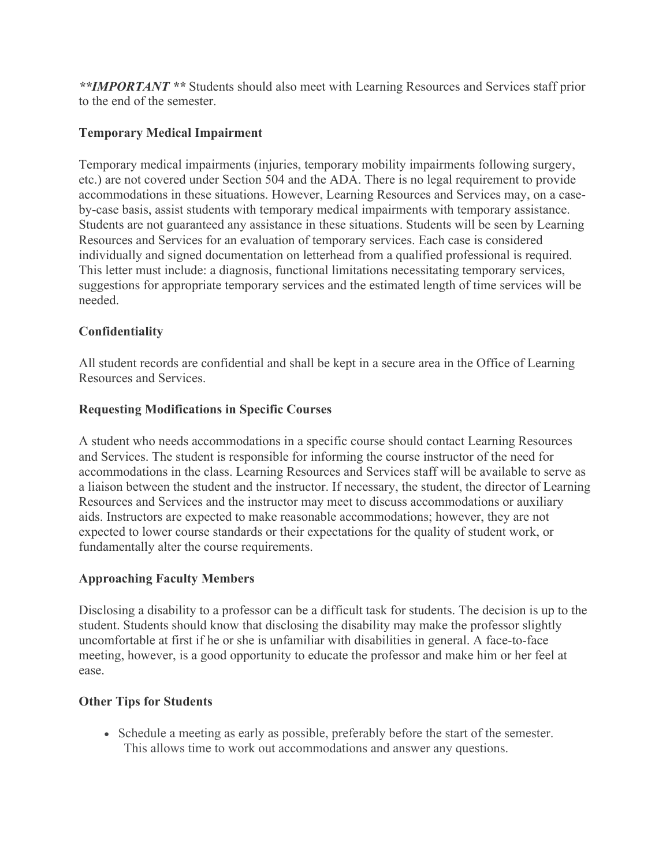*\*\*IMPORTANT \*\** Students should also meet with Learning Resources and Services staff prior to the end of the semester.

# **Temporary Medical Impairment**

Temporary medical impairments (injuries, temporary mobility impairments following surgery, etc.) are not covered under Section 504 and the ADA. There is no legal requirement to provide accommodations in these situations. However, Learning Resources and Services may, on a caseby-case basis, assist students with temporary medical impairments with temporary assistance. Students are not guaranteed any assistance in these situations. Students will be seen by Learning Resources and Services for an evaluation of temporary services. Each case is considered individually and signed documentation on letterhead from a qualified professional is required. This letter must include: a diagnosis, functional limitations necessitating temporary services, suggestions for appropriate temporary services and the estimated length of time services will be needed.

# **Confidentiality**

All student records are confidential and shall be kept in a secure area in the Office of Learning Resources and Services.

# **Requesting Modifications in Specific Courses**

A student who needs accommodations in a specific course should contact Learning Resources and Services. The student is responsible for informing the course instructor of the need for accommodations in the class. Learning Resources and Services staff will be available to serve as a liaison between the student and the instructor. If necessary, the student, the director of Learning Resources and Services and the instructor may meet to discuss accommodations or auxiliary aids. Instructors are expected to make reasonable accommodations; however, they are not expected to lower course standards or their expectations for the quality of student work, or fundamentally alter the course requirements.

#### **Approaching Faculty Members**

Disclosing a disability to a professor can be a difficult task for students. The decision is up to the student. Students should know that disclosing the disability may make the professor slightly uncomfortable at first if he or she is unfamiliar with disabilities in general. A face-to-face meeting, however, is a good opportunity to educate the professor and make him or her feel at ease.

#### **Other Tips for Students**

• Schedule a meeting as early as possible, preferably before the start of the semester. This allows time to work out accommodations and answer any questions.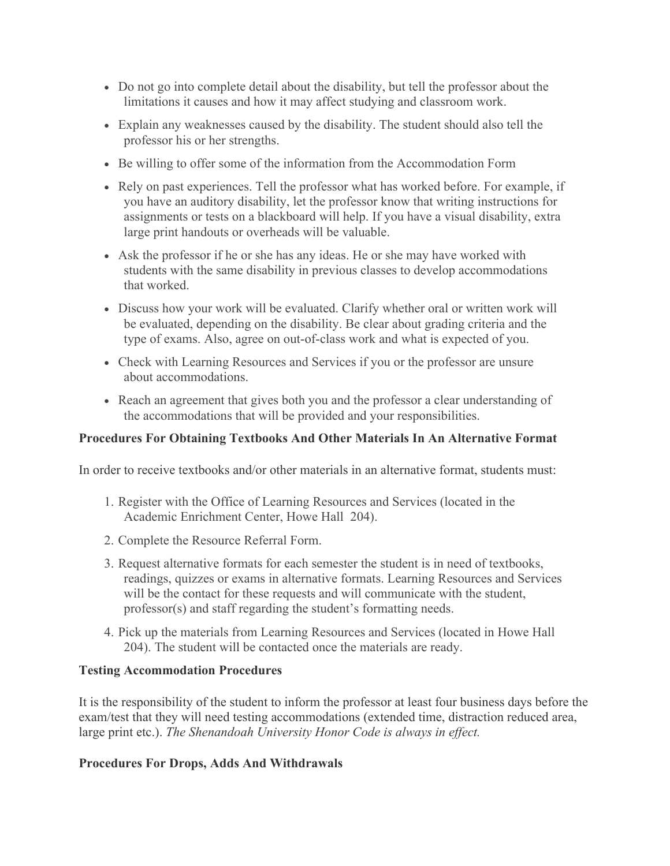- Do not go into complete detail about the disability, but tell the professor about the limitations it causes and how it may affect studying and classroom work.
- Explain any weaknesses caused by the disability. The student should also tell the professor his or her strengths.
- Be willing to offer some of the information from the Accommodation Form
- Rely on past experiences. Tell the professor what has worked before. For example, if you have an auditory disability, let the professor know that writing instructions for assignments or tests on a blackboard will help. If you have a visual disability, extra large print handouts or overheads will be valuable.
- Ask the professor if he or she has any ideas. He or she may have worked with students with the same disability in previous classes to develop accommodations that worked.
- Discuss how your work will be evaluated. Clarify whether oral or written work will be evaluated, depending on the disability. Be clear about grading criteria and the type of exams. Also, agree on out-of-class work and what is expected of you.
- Check with Learning Resources and Services if you or the professor are unsure about accommodations.
- Reach an agreement that gives both you and the professor a clear understanding of the accommodations that will be provided and your responsibilities.

### **Procedures For Obtaining Textbooks And Other Materials In An Alternative Format**

In order to receive textbooks and/or other materials in an alternative format, students must:

- 1. Register with the Office of Learning Resources and Services (located in the Academic Enrichment Center, Howe Hall 204).
- 2. Complete the Resource Referral Form.
- 3. Request alternative formats for each semester the student is in need of textbooks, readings, quizzes or exams in alternative formats. Learning Resources and Services will be the contact for these requests and will communicate with the student, professor(s) and staff regarding the student's formatting needs.
- 4. Pick up the materials from Learning Resources and Services (located in Howe Hall 204). The student will be contacted once the materials are ready.

#### **Testing Accommodation Procedures**

It is the responsibility of the student to inform the professor at least four business days before the exam/test that they will need testing accommodations (extended time, distraction reduced area, large print etc.). *The Shenandoah University Honor Code is always in effect.*

#### **Procedures For Drops, Adds And Withdrawals**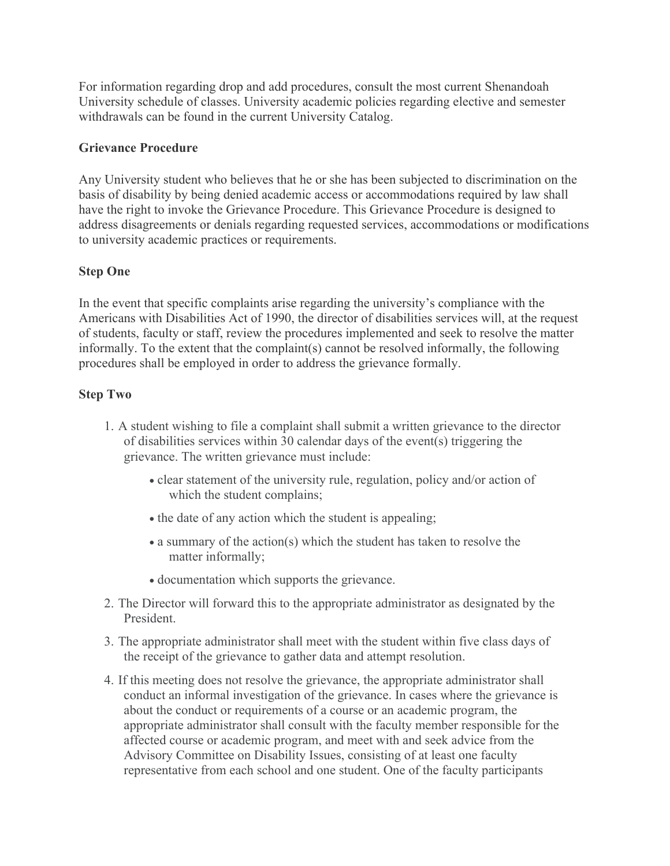For information regarding drop and add procedures, consult the most current Shenandoah University schedule of classes. University academic policies regarding elective and semester withdrawals can be found in the current University Catalog.

#### **Grievance Procedure**

Any University student who believes that he or she has been subjected to discrimination on the basis of disability by being denied academic access or accommodations required by law shall have the right to invoke the Grievance Procedure. This Grievance Procedure is designed to address disagreements or denials regarding requested services, accommodations or modifications to university academic practices or requirements.

#### **Step One**

In the event that specific complaints arise regarding the university's compliance with the Americans with Disabilities Act of 1990, the director of disabilities services will, at the request of students, faculty or staff, review the procedures implemented and seek to resolve the matter informally. To the extent that the complaint(s) cannot be resolved informally, the following procedures shall be employed in order to address the grievance formally.

#### **Step Two**

- 1. A student wishing to file a complaint shall submit a written grievance to the director of disabilities services within 30 calendar days of the event(s) triggering the grievance. The written grievance must include:
	- clear statement of the university rule, regulation, policy and/or action of which the student complains;
	- the date of any action which the student is appealing;
	- a summary of the action(s) which the student has taken to resolve the matter informally;
	- documentation which supports the grievance.
- 2. The Director will forward this to the appropriate administrator as designated by the President.
- 3. The appropriate administrator shall meet with the student within five class days of the receipt of the grievance to gather data and attempt resolution.
- 4. If this meeting does not resolve the grievance, the appropriate administrator shall conduct an informal investigation of the grievance. In cases where the grievance is about the conduct or requirements of a course or an academic program, the appropriate administrator shall consult with the faculty member responsible for the affected course or academic program, and meet with and seek advice from the Advisory Committee on Disability Issues, consisting of at least one faculty representative from each school and one student. One of the faculty participants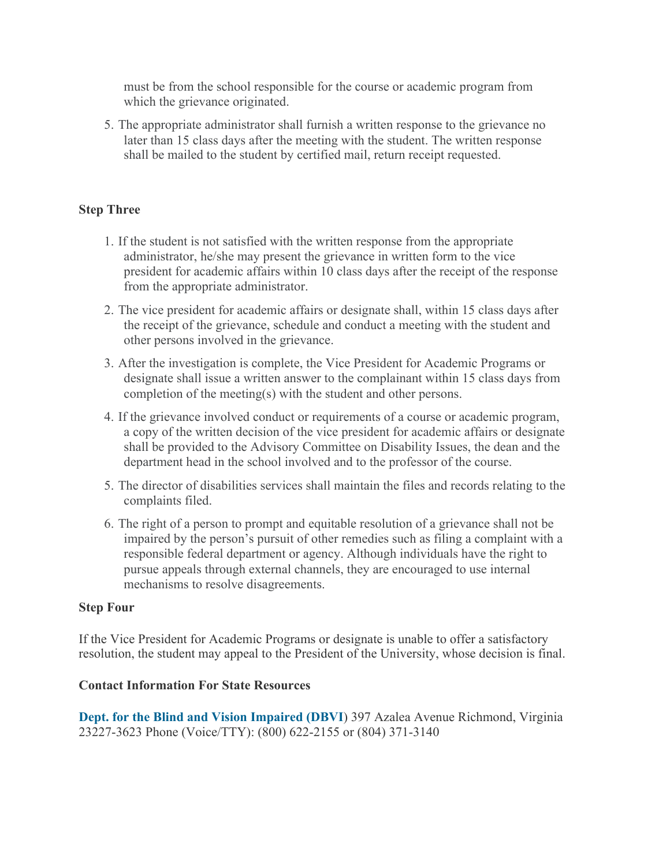must be from the school responsible for the course or academic program from which the grievance originated.

5. The appropriate administrator shall furnish a written response to the grievance no later than 15 class days after the meeting with the student. The written response shall be mailed to the student by certified mail, return receipt requested.

# **Step Three**

- 1. If the student is not satisfied with the written response from the appropriate administrator, he/she may present the grievance in written form to the vice president for academic affairs within 10 class days after the receipt of the response from the appropriate administrator.
- 2. The vice president for academic affairs or designate shall, within 15 class days after the receipt of the grievance, schedule and conduct a meeting with the student and other persons involved in the grievance.
- 3. After the investigation is complete, the Vice President for Academic Programs or designate shall issue a written answer to the complainant within 15 class days from completion of the meeting(s) with the student and other persons.
- 4. If the grievance involved conduct or requirements of a course or academic program, a copy of the written decision of the vice president for academic affairs or designate shall be provided to the Advisory Committee on Disability Issues, the dean and the department head in the school involved and to the professor of the course.
- 5. The director of disabilities services shall maintain the files and records relating to the complaints filed.
- 6. The right of a person to prompt and equitable resolution of a grievance shall not be impaired by the person's pursuit of other remedies such as filing a complaint with a responsible federal department or agency. Although individuals have the right to pursue appeals through external channels, they are encouraged to use internal mechanisms to resolve disagreements.

#### **Step Four**

If the Vice President for Academic Programs or designate is unable to offer a satisfactory resolution, the student may appeal to the President of the University, whose decision is final.

#### **Contact Information For State Resources**

**Dept. for the Blind and Vision Impaired (DBVI**) 397 Azalea Avenue Richmond, Virginia 23227-3623 Phone (Voice/TTY): (800) 622-2155 or (804) 371-3140